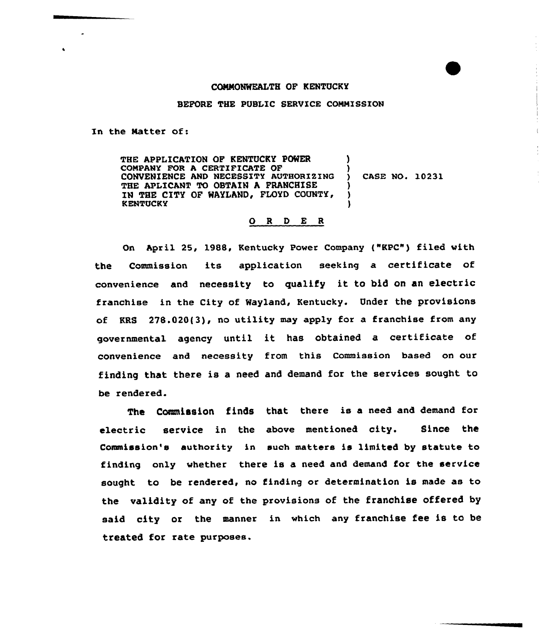## CONNONWEALTH OF KENTUCKY

BEFORE THE PUBLIC SERVICE COMMISSION

In the Natter of:

THE APPLICATION OF KENTUCKY POWER COMPANY FOR A CERTIFICATE OF CONVENIENCE AND NECESSITY AUTHORIZING THE APLICANT TO OBTAIN A FRANCHISE IN THE CITY OF WAYLAND, FLOYD COUNTY, KENTUCKY )  $\lambda$ ) CASE HO. 10231 ) 3

## 0 <sup>R</sup> <sup>D</sup> E <sup>R</sup>

On April 25, 198B, Kentucky Power Company ("KPC") filed with the Commission its application seeking a certificate of convenience and necessity to qualify it to bid on an electric franchise in the City of Wayland, Kentucky. Under the provisions of KRS 278.020(3), no utility may apply for a franchise from any governmental agency until it has obtained a certificate of convenience and necessity from this Commission based on our finding that there is a need and demand for the services sought to be rendered.

The Commission finds that there is a need and demand for electric service in the above mentioned city. Since the Commission's authority in such matters is limited by statute to finding only whether there is a need and demand for the service sought to be rendered, no finding or determination is made as to the validity of any of the provisions of the franchise offered by said city or the manner in which any franchise fee is to be treated for rate purposes.